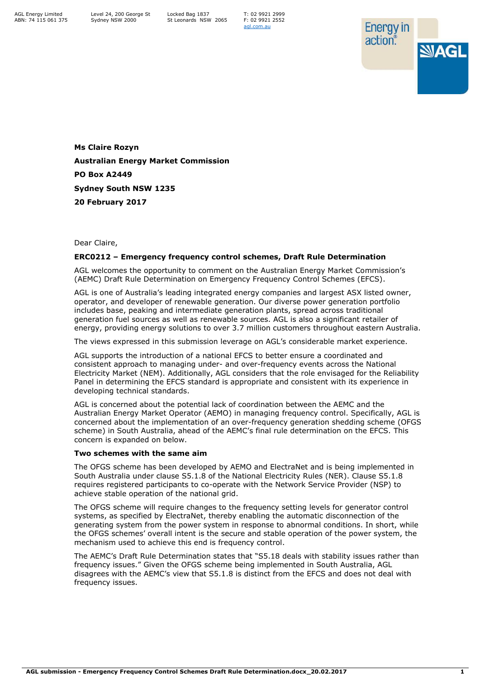T: 02 9921 2999 F: 02 9921 2552 [agl.com.au](https://www.agl.com.au/about-agl)



**Ms Claire Rozyn Australian Energy Market Commission PO Box A2449 Sydney South NSW 1235 20 February 2017**

## Dear Claire,

## **ERC0212 – Emergency frequency control schemes, Draft Rule Determination**

AGL welcomes the opportunity to comment on the Australian Energy Market Commission's (AEMC) Draft Rule Determination on Emergency Frequency Control Schemes (EFCS).

AGL is one of Australia's leading integrated energy companies and largest ASX listed owner, operator, and developer of renewable generation. Our diverse power generation portfolio includes base, peaking and intermediate generation plants, spread across traditional generation fuel sources as well as renewable sources. AGL is also a significant retailer of energy, providing energy solutions to over 3.7 million customers throughout eastern Australia.

The views expressed in this submission leverage on AGL's considerable market experience.

AGL supports the introduction of a national EFCS to better ensure a coordinated and consistent approach to managing under- and over-frequency events across the National Electricity Market (NEM). Additionally, AGL considers that the role envisaged for the Reliability Panel in determining the EFCS standard is appropriate and consistent with its experience in developing technical standards.

AGL is concerned about the potential lack of coordination between the AEMC and the Australian Energy Market Operator (AEMO) in managing frequency control. Specifically, AGL is concerned about the implementation of an over-frequency generation shedding scheme (OFGS scheme) in South Australia, ahead of the AEMC's final rule determination on the EFCS. This concern is expanded on below.

## **Two schemes with the same aim**

The OFGS scheme has been developed by AEMO and ElectraNet and is being implemented in South Australia under clause S5.1.8 of the National Electricity Rules (NER). Clause S5.1.8 requires registered participants to co-operate with the Network Service Provider (NSP) to achieve stable operation of the national grid.

The OFGS scheme will require changes to the frequency setting levels for generator control systems, as specified by ElectraNet, thereby enabling the automatic disconnection of the generating system from the power system in response to abnormal conditions. In short, while the OFGS schemes' overall intent is the secure and stable operation of the power system, the mechanism used to achieve this end is frequency control.

The AEMC's Draft Rule Determination states that "S5.18 deals with stability issues rather than frequency issues." Given the OFGS scheme being implemented in South Australia, AGL disagrees with the AEMC's view that S5.1.8 is distinct from the EFCS and does not deal with frequency issues.